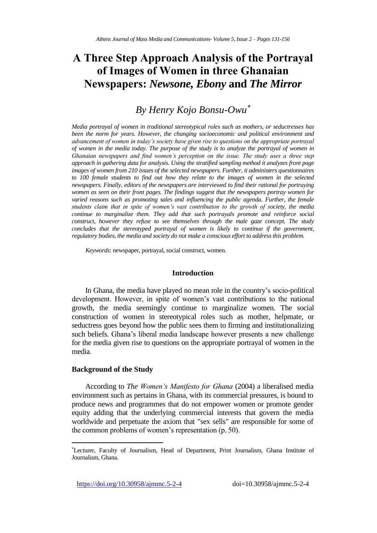# **A Three Step Approach Analysis of the Portrayal of Images of Women in three Ghanaian Newspapers:** *Newsone, Ebony* **and** *The Mirror*

# *By Henry Kojo Bonsu-Owu*

*Media portrayal of women in traditional stereotypical roles such as mothers, or seductresses has been the norm for years. However, the changing socioeconomic and political environment and advancement of women in today's society have given rise to questions on the appropriate portrayal of women in the media today. The purpose of the study is to analyze the portrayal of women in Ghanaian newspapers and find women's perception on the issue. The study uses a three step approach in gathering data for analysis. Using the stratified sampling method it analyzes front page images of women from 210 issues of the selected newspapers. Further, it administers questionnaires to 100 female students to find out how they relate to the images of women in the selected newspapers. Finally, editors of the newspapers are interviewed to find their rational for portraying women as seen on their front pages. The findings suggest that the newspapers portray women for varied reasons such as promoting sales and influencing the public agenda. Further, the female students claim that in spite of women's vast contribution to the growth of society, the media continue to marginalize them. They add that such portrayals promote and reinforce social construct, however they refuse to see themselves through the male gaze concept. The study concludes that the stereotyped portrayal of women is likely to continue if the government, regulatory bodies, the media and society do not make a conscious effort to address this problem.*

*Keywords*: newspaper, portrayal, social construct, women.

# **Introduction**

In Ghana, the media have played no mean role in the country's socio-political development. However, in spite of women's vast contributions to the national growth, the media seemingly continue to marginalize women. The social construction of women in stereotypical roles such as mother, helpmate, or seductress goes beyond how the public sees them to firming and institutionalizing such beliefs. Ghana's liberal media landscape however presents a new challenge for the media given rise to questions on the appropriate portrayal of women in the media.

## **Background of the Study**

 $\overline{\phantom{a}}$ 

According to *The Women's Manifesto for Ghana* (2004) a liberalised media environment such as pertains in Ghana, with its commercial pressures, is bound to produce news and programmes that do not empower women or promote gender equity adding that the underlying commercial interests that govern the media worldwide and perpetuate the axiom that "sex sells" are responsible for some of the common problems of women's representation (p. 50).

https://doi.org/10.30958/ajmmc.5-2-4 doi=10.30958/ajmmc.5-2-4

Lecturer, Faculty of Journalism, Head of Department, Print Journalism, Ghana Institute of Journalism, Ghana.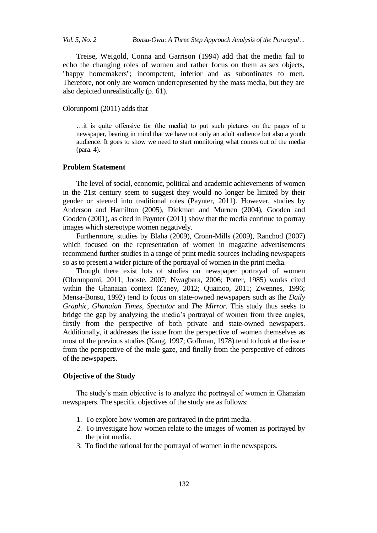Treise, Weigold, Conna and Garrison (1994) add that the media fail to echo the changing roles of women and rather focus on them as sex objects, "happy homemakers"; incompetent, inferior and as subordinates to men. Therefore, not only are women underrepresented by the mass media, but they are also depicted unrealistically (p. 61).

# Olorunpomi (2011) adds that

…it is quite offensive for (the media) to put such pictures on the pages of a newspaper, bearing in mind that we have not only an adult audience but also a youth audience. It goes to show we need to start monitoring what comes out of the media (para. 4).

## **Problem Statement**

The level of social, economic, political and academic achievements of women in the 21st century seem to suggest they would no longer be limited by their gender or steered into traditional roles (Paynter, 2011). However, studies by Anderson and Hamilton (2005), Diekman and Murnen (2004), Gooden and Gooden (2001), as cited in Paynter (2011) show that the media continue to portray images which stereotype women negatively.

Furthermore, studies by Blaha (2009), Cronn-Mills (2009), Ranchod (2007) which focused on the representation of women in magazine advertisements recommend further studies in a range of print media sources including newspapers so as to present a wider picture of the portrayal of women in the print media.

Though there exist lots of studies on newspaper portrayal of women (Olorunpomi, 2011; Jooste, 2007; Nwagbara, 2006; Potter, 1985) works cited within the Ghanaian context (Zaney, 2012; Quainoo, 2011; Zwennes, 1996; Mensa-Bonsu, 1992) tend to focus on state-owned newspapers such as the *Daily Graphic*, *Ghanaian Times*, *Spectator* and *The Mirror*. This study thus seeks to bridge the gap by analyzing the media's portrayal of women from three angles, firstly from the perspective of both private and state-owned newspapers. Additionally, it addresses the issue from the perspective of women themselves as most of the previous studies (Kang, 1997; Goffman, 1978) tend to look at the issue from the perspective of the male gaze, and finally from the perspective of editors of the newspapers.

#### **Objective of the Study**

The study's main objective is to analyze the portrayal of women in Ghanaian newspapers. The specific objectives of the study are as follows:

- 1. To explore how women are portrayed in the print media.
- 2. To investigate how women relate to the images of women as portrayed by the print media.
- 3. To find the rational for the portrayal of women in the newspapers.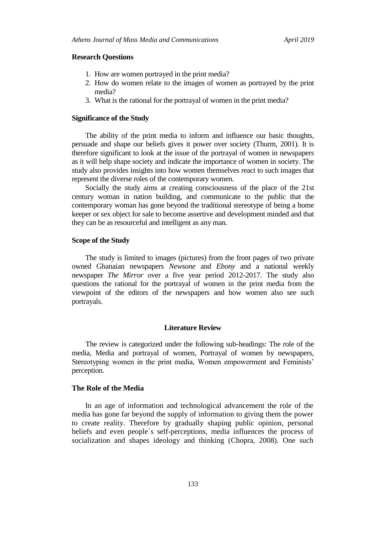### **Research Questions**

- 1. How are women portrayed in the print media?
- 2. How do women relate to the images of women as portrayed by the print media?
- 3. What is the rational for the portrayal of women in the print media?

#### **Significance of the Study**

The ability of the print media to inform and influence our basic thoughts, persuade and shape our beliefs gives it power over society (Thurm, 2001). It is therefore significant to look at the issue of the portrayal of women in newspapers as it will help shape society and indicate the importance of women in society. The study also provides insights into how women themselves react to such images that represent the diverse roles of the contemporary women.

Socially the study aims at creating consciousness of the place of the 21st century woman in nation building, and communicate to the public that the contemporary woman has gone beyond the traditional stereotype of being a home keeper or sex object for sale to become assertive and development minded and that they can be as resourceful and intelligent as any man.

#### **Scope of the Study**

The study is limited to images (pictures) from the front pages of two private owned Ghanaian newspapers *Newsone* and *Ebony* and a national weekly newspaper *The Mirror* over a five year period 2012-2017. The study also questions the rational for the portrayal of women in the print media from the viewpoint of the editors of the newspapers and how women also see such portrayals.

#### **Literature Review**

The review is categorized under the following sub-headings: The role of the media, Media and portrayal of women, Portrayal of women by newspapers, Stereotyping women in the print media, Women empowerment and Feminists' perception.

# **The Role of the Media**

In an age of information and technological advancement the role of the media has gone far beyond the supply of information to giving them the power to create reality. Therefore by gradually shaping public opinion, personal beliefs and even people᾽s self-perceptions, media influences the process of socialization and shapes ideology and thinking (Chopra, 2008). One such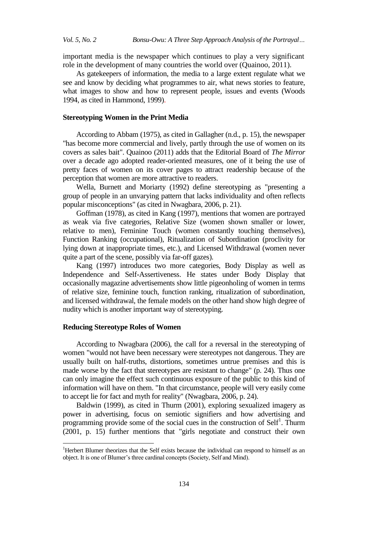important media is the newspaper which continues to play a very significant role in the development of many countries the world over (Quainoo, 2011).

As gatekeepers of information, the media to a large extent regulate what we see and know by deciding what programmes to air, what news stories to feature, what images to show and how to represent people, issues and events (Woods 1994, as cited in Hammond, 1999).

## **Stereotyping Women in the Print Media**

According to Abbam (1975), as cited in Gallagher (n.d., p. 15), the newspaper "has become more commercial and lively, partly through the use of women on its covers as sales bait". Quainoo (2011) adds that the Editorial Board of *The Mirror* over a decade ago adopted reader-oriented measures, one of it being the use of pretty faces of women on its cover pages to attract readership because of the perception that women are more attractive to readers.

Wella, Burnett and Moriarty (1992) define stereotyping as "presenting a group of people in an unvarying pattern that lacks individuality and often reflects popular misconceptions" (as cited in Nwagbara, 2006, p. 21).

Goffman (1978), as cited in Kang (1997), mentions that women are portrayed as weak via five categories, Relative Size (women shown smaller or lower, relative to men), Feminine Touch (women constantly touching themselves), Function Ranking (occupational), Ritualization of Subordination (proclivity for lying down at inappropriate times, etc.), and Licensed Withdrawal (women never quite a part of the scene, possibly via far-off gazes).

Kang (1997) introduces two more categories, Body Display as well as Independence and Self-Assertiveness. He states under Body Display that occasionally magazine advertisements show little pigeonholing of women in terms of relative size, feminine touch, function ranking, ritualization of subordination, and licensed withdrawal, the female models on the other hand show high degree of nudity which is another important way of stereotyping.

## **Reducing Stereotype Roles of Women**

 $\overline{a}$ 

According to Nwagbara (2006), the call for a reversal in the stereotyping of women "would not have been necessary were stereotypes not dangerous. They are usually built on half-truths, distortions, sometimes untrue premises and this is made worse by the fact that stereotypes are resistant to change" (p. 24). Thus one can only imagine the effect such continuous exposure of the public to this kind of information will have on them. "In that circumstance, people will very easily come to accept lie for fact and myth for reality" (Nwagbara, 2006, p. 24).

Baldwin (1999), as cited in Thurm (2001), exploring sexualized imagery as power in advertising, focus on semiotic signifiers and how advertising and programming provide some of the social cues in the construction of  $\text{Self}^1$ . Thurm (2001, p. 15) further mentions that "girls negotiate and construct their own

<sup>&</sup>lt;sup>1</sup>Herbert Blumer theorizes that the Self exists because the individual can respond to himself as an object. It is one of Blumer's three cardinal concepts (Society, Self and Mind).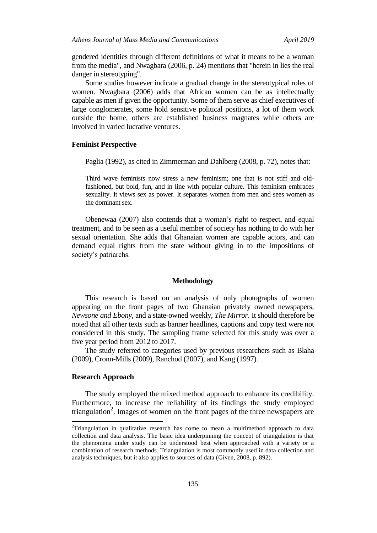gendered identities through different definitions of what it means to be a woman from the media", and Nwagbara (2006, p. 24) mentions that "herein in lies the real danger in stereotyping".

Some studies however indicate a gradual change in the stereotypical roles of women. Nwagbara (2006) adds that African women can be as intellectually capable as men if given the opportunity. Some of them serve as chief executives of large conglomerates, some hold sensitive political positions, a lot of them work outside the home, others are established business magnates while others are involved in varied lucrative ventures.

# **Feminist Perspective**

Paglia (1992), as cited in Zimmerman and Dahlberg (2008, p. 72), notes that:

Third wave feminists now stress a new feminism; one that is not stiff and oldfashioned, but bold, fun, and in line with popular culture. This feminism embraces sexuality. It views sex as power. It separates women from men and sees women as the dominant sex.

Obenewaa (2007) also contends that a woman's right to respect, and equal treatment, and to be seen as a useful member of society has nothing to do with her sexual orientation. She adds that Ghanaian women are capable actors, and can demand equal rights from the state without giving in to the impositions of society's patriarchs.

# **Methodology**

This research is based on an analysis of only photographs of women appearing on the front pages of two Ghanaian privately owned newspapers, *Newsone and Ebony*, and a state-owned weekly, *The Mirror*. It should therefore be noted that all other texts such as banner headlines, captions and copy text were not considered in this study. The sampling frame selected for this study was over a five year period from 2012 to 2017.

The study referred to categories used by previous researchers such as Blaha (2009), Cronn-Mills (2009), Ranchod (2007), and Kang (1997).

# **Research Approach**

 $\overline{a}$ 

The study employed the mixed method approach to enhance its credibility. Furthermore, to increase the reliability of its findings the study employed triangulation<sup>2</sup>. Images of women on the front pages of the three newspapers are

<sup>&</sup>lt;sup>2</sup>Triangulation in qualitative research has come to mean a multimethod approach to data collection and data analysis. The basic idea underpinning the concept of triangulation is that the phenomena under study can be understood best when approached with a variety or a combination of research methods. Triangulation is most commonly used in data collection and analysis techniques, but it also applies to sources of data (Given, 2008, p. 892).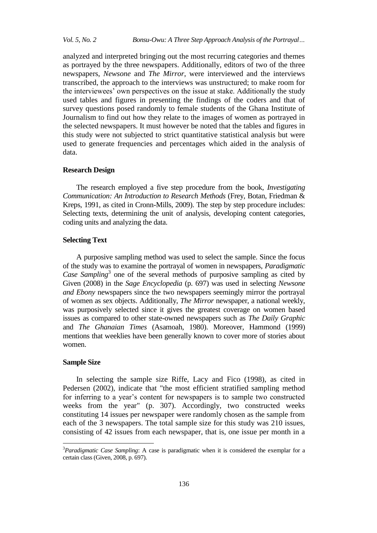analyzed and interpreted bringing out the most recurring categories and themes as portrayed by the three newspapers. Additionally, editors of two of the three newspapers, *Newsone* and *The Mirror*, were interviewed and the interviews transcribed, the approach to the interviews was unstructured; to make room for the interviewees' own perspectives on the issue at stake. Additionally the study used tables and figures in presenting the findings of the coders and that of survey questions posed randomly to female students of the Ghana Institute of Journalism to find out how they relate to the images of women as portrayed in the selected newspapers. It must however be noted that the tables and figures in this study were not subjected to strict quantitative statistical analysis but were used to generate frequencies and percentages which aided in the analysis of data.

## **Research Design**

The research employed a five step procedure from the book, *Investigating Communication: An Introduction to Research Methods* (Frey, Botan, Friedman & Kreps, 1991, as cited in Cronn-Mills, 2009). The step by step procedure includes: Selecting texts, determining the unit of analysis, developing content categories, coding units and analyzing the data.

# **Selecting Text**

A purposive sampling method was used to select the sample. Since the focus of the study was to examine the portrayal of women in newspapers, *Paradigmatic*  Case Sampling<sup>3</sup> one of the several methods of purposive sampling as cited by Given (2008) in the *Sage Encyclopedia* (p. 697) was used in selecting *Newsone and Ebony* newspapers since the two newspapers seemingly mirror the portrayal of women as sex objects. Additionally, *The Mirror* newspaper, a national weekly, was purposively selected since it gives the greatest coverage on women based issues as compared to other state-owned newspapers such as *The Daily Graphic* and *The Ghanaian Times* (Asamoah, 1980). Moreover, Hammond (1999) mentions that weeklies have been generally known to cover more of stories about women.

#### **Sample Size**

 $\overline{a}$ 

In selecting the sample size Riffe, Lacy and Fico (1998), as cited in Pedersen (2002), indicate that "the most efficient stratified sampling method for inferring to a year's content for newspapers is to sample two constructed weeks from the year" (p. 307). Accordingly, two constructed weeks constituting 14 issues per newspaper were randomly chosen as the sample from each of the 3 newspapers. The total sample size for this study was 210 issues, consisting of 42 issues from each newspaper, that is, one issue per month in a

<sup>3</sup>*Paradigmatic Case Sampling*: A case is paradigmatic when it is considered the exemplar for a certain class (Given, 2008, p. 697).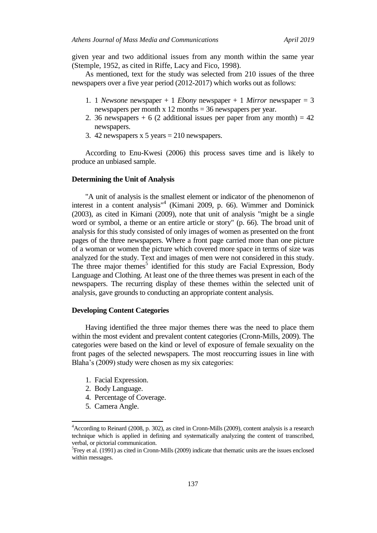given year and two additional issues from any month within the same year (Stemple, 1952, as cited in Riffe, Lacy and Fico, 1998).

As mentioned, text for the study was selected from 210 issues of the three newspapers over a five year period (2012-2017) which works out as follows:

- 1. 1 *Newsone* newspaper + 1 *Ebony* newspaper + 1 *Mirror* newspaper = 3 newspapers per month x 12 months = 36 newspapers per year.
- 2. 36 newspapers  $+ 6$  (2 additional issues per paper from any month)  $= 42$ newspapers.
- 3. 42 newspapers  $x 5$  years  $= 210$  newspapers.

According to Enu-Kwesi (2006) this process saves time and is likely to produce an unbiased sample.

#### **Determining the Unit of Analysis**

"A unit of analysis is the smallest element or indicator of the phenomenon of interest in a content analysis" 4 (Kimani 2009, p. 66). Wimmer and Dominick (2003), as cited in Kimani (2009), note that unit of analysis "might be a single word or symbol, a theme or an entire article or story" (p. 66). The broad unit of analysis for this study consisted of only images of women as presented on the front pages of the three newspapers. Where a front page carried more than one picture of a woman or women the picture which covered more space in terms of size was analyzed for the study. Text and images of men were not considered in this study. The three major themes<sup>5</sup> identified for this study are Facial Expression, Body Language and Clothing. At least one of the three themes was present in each of the newspapers. The recurring display of these themes within the selected unit of analysis, gave grounds to conducting an appropriate content analysis.

#### **Developing Content Categories**

Having identified the three major themes there was the need to place them within the most evident and prevalent content categories (Cronn-Mills, 2009). The categories were based on the kind or level of exposure of female sexuality on the front pages of the selected newspapers. The most reoccurring issues in line with Blaha's (2009) study were chosen as my six categories:

- 1. Facial Expression.
- 2. Body Language.
- 4. Percentage of Coverage.
- 5. Camera Angle.

 $\overline{a}$ 

<sup>4</sup>According to Reinard (2008, p. 302), as cited in Cronn-Mills (2009), content analysis is a research technique which is applied in defining and systematically analyzing the content of transcribed, verbal, or pictorial communication.

<sup>&</sup>lt;sup>5</sup> Frey et al. (1991) as cited in Cronn-Mills (2009) indicate that thematic units are the issues enclosed within messages.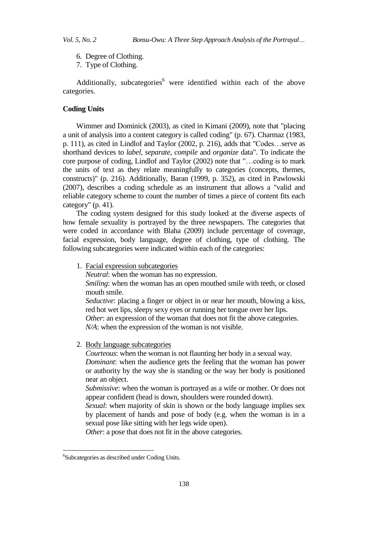- 6. Degree of Clothing.
- 7. Type of Clothing.

Additionally, subcategories<sup> $6$ </sup> were identified within each of the above categories.

# **Coding Units**

Wimmer and Dominick (2003), as cited in Kimani (2009), note that "placing a unit of analysis into a content category is called coding" (p. 67). Charmaz (1983, p. 111), as cited in Lindlof and Taylor (2002, p. 216), adds that "Codes…serve as shorthand devices to *label*, *separate*, *compile* and *organize* data". To indicate the core purpose of coding, Lindlof and Taylor (2002) note that "…coding is to mark the units of text as they relate meaningfully to categories (concepts, themes, constructs)" (p. 216). Additionally, Baran (1999, p. 352), as cited in Pawlowski (2007), describes a coding schedule as an instrument that allows a "valid and reliable category scheme to count the number of times a piece of content fits each category" (p. 41).

The coding system designed for this study looked at the diverse aspects of how female sexuality is portrayed by the three newspapers. The categories that were coded in accordance with Blaha (2009) include percentage of coverage, facial expression, body language, degree of clothing, type of clothing. The following subcategories were indicated within each of the categories:

1. Facial expression subcategories

*Neutral*: when the woman has no expression.

*Smiling*: when the woman has an open mouthed smile with teeth, or closed mouth smile.

*Seductive*: placing a finger or object in or near her mouth, blowing a kiss, red hot wet lips, sleepy sexy eyes or running her tongue over her lips. *Other*: an expression of the woman that does not fit the above categories.

*N/A*: when the expression of the woman is not visible.

2. Body language subcategories

*Courteous*: when the woman is not flaunting her body in a sexual way. *Dominant*: when the audience gets the feeling that the woman has power or authority by the way she is standing or the way her body is positioned near an object.

*Submissive*: when the woman is portrayed as a wife or mother. Or does not appear confident (head is down, shoulders were rounded down).

*Sexual*: when majority of skin is shown or the body language implies sex by placement of hands and pose of body (e.g. when the woman is in a sexual pose like sitting with her legs wide open).

*Other*: a pose that does not fit in the above categories.

1

<sup>6</sup> Subcategories as described under Coding Units.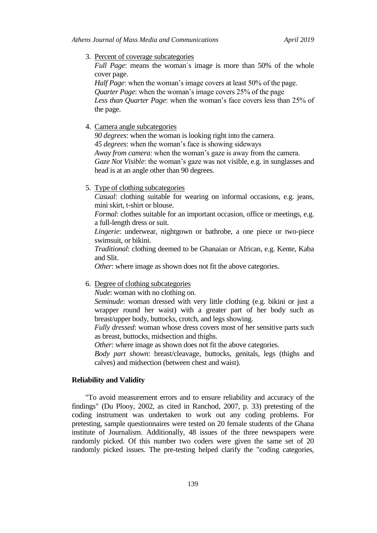3. Percent of coverage subcategories

*Full Page*: means the woman's image is more than 50% of the whole cover page.

*Half Page*: when the woman's image covers at least 50% of the page. *Quarter Page*: when the woman's image covers 25% of the page *Less than Quarter Page*: when the woman's face covers less than 25% of the page.

4. Camera angle subcategories

*90 degrees*: when the woman is looking right into the camera. *45 degrees*: when the woman's face is showing sideways

*Away from camera*: when the woman's gaze is away from the camera.

*Gaze Not Visible*: the woman's gaze was not visible, e.g. in sunglasses and head is at an angle other than 90 degrees.

5. Type of clothing subcategories

*Casual*: clothing suitable for wearing on informal occasions, e.g. jeans, mini skirt, t-shirt or blouse.

*Formal*: clothes suitable for an important occasion, office or meetings, e.g. a full-length dress or suit.

*Lingerie*: underwear, nightgown or bathrobe, a one piece or two-piece swimsuit, or bikini.

*Traditional*: clothing deemed to be Ghanaian or African, e.g. Kente, Kaba and Slit.

*Other*: where image as shown does not fit the above categories.

6. Degree of clothing subcategories

*Nude*: woman with no clothing on.

*Seminude*: woman dressed with very little clothing (e.g. bikini or just a wrapper round her waist) with a greater part of her body such as breast/upper body, buttocks, crotch, and legs showing.

*Fully dressed*: woman whose dress covers most of her sensitive parts such as breast, buttocks, midsection and thighs.

*Other*: where image as shown does not fit the above categories.

*Body part shown*: breast/cleavage, buttocks, genitals, legs (thighs and calves) and midsection (between chest and waist).

## **Reliability and Validity**

"To avoid measurement errors and to ensure reliability and accuracy of the findings" (Du Plooy, 2002, as cited in Ranchod, 2007, p. 33) pretesting of the coding instrument was undertaken to work out any coding problems. For pretesting, sample questionnaires were tested on 20 female students of the Ghana institute of Journalism. Additionally, 48 issues of the three newspapers were randomly picked. Of this number two coders were given the same set of 20 randomly picked issues. The pre-testing helped clarify the "coding categories,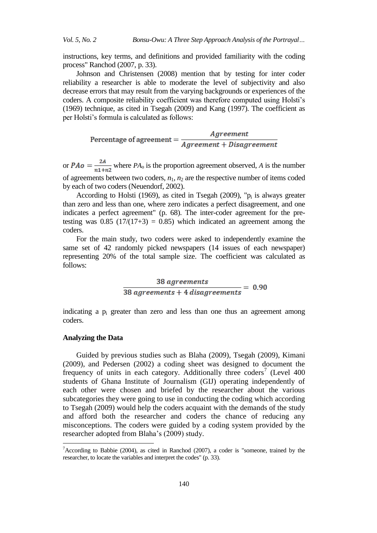instructions, key terms, and definitions and provided familiarity with the coding process" Ranchod (2007, p. 33).

Johnson and Christensen (2008) mention that by testing for inter coder reliability a researcher is able to moderate the level of subjectivity and also decrease errors that may result from the varying backgrounds or experiences of the coders. A composite reliability coefficient was therefore computed using Holsti's (1969) technique, as cited in Tsegah (2009) and Kang (1997). The coefficient as per Holsti's formula is calculated as follows:

Percentage of agreement  $=$   $\frac{Agreement}{Agreement + Disagreement}$ 

or  $PAo = \frac{2A}{n1+n2}$  where  $PA<sub>o</sub>$  is the proportion agreement observed, *A* is the number of agreements between two coders, *n*1, *n*<sup>2</sup> are the respective number of items coded by each of two coders (Neuendorf, 2002).

According to Holsti (1969), as cited in Tsegah (2009), " $p_i$  is always greater than zero and less than one, where zero indicates a perfect disagreement, and one indicates a perfect agreement" (p. 68). The inter-coder agreement for the pretesting was  $0.85$  (17/(17+3) = 0.85) which indicated an agreement among the coders.

For the main study, two coders were asked to independently examine the same set of 42 randomly picked newspapers (14 issues of each newspaper) representing 20% of the total sample size. The coefficient was calculated as follows:

 $\frac{38 \text{ agreements}}{38 \text{ agreements} + 4 \text{ disagreements}} = 0.90$ 

indicating a  $p_i$  greater than zero and less than one thus an agreement among coders.

# **Analyzing the Data**

 $\overline{a}$ 

Guided by previous studies such as Blaha (2009), Tsegah (2009), Kimani (2009), and Pedersen (2002) a coding sheet was designed to document the frequency of units in each category. Additionally three coders<sup>7</sup> (Level 400 students of Ghana Institute of Journalism (GIJ) operating independently of each other were chosen and briefed by the researcher about the various subcategories they were going to use in conducting the coding which according to Tsegah (2009) would help the coders acquaint with the demands of the study and afford both the researcher and coders the chance of reducing any misconceptions. The coders were guided by a coding system provided by the researcher adopted from Blaha's (2009) study.

<sup>&</sup>lt;sup>7</sup>According to Babbie (2004), as cited in Ranchod (2007), a coder is "someone, trained by the researcher, to locate the variables and interpret the codes" (p. 33).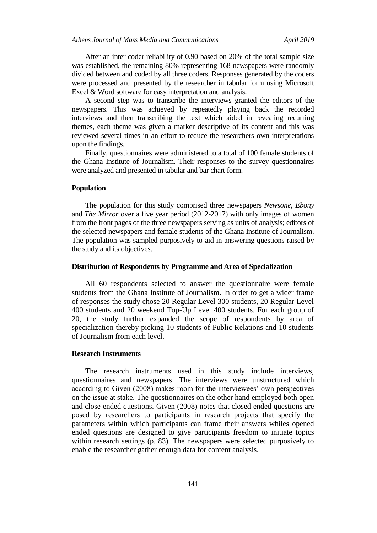After an inter coder reliability of 0.90 based on 20% of the total sample size was established, the remaining 80% representing 168 newspapers were randomly divided between and coded by all three coders. Responses generated by the coders were processed and presented by the researcher in tabular form using Microsoft Excel & Word software for easy interpretation and analysis.

A second step was to transcribe the interviews granted the editors of the newspapers. This was achieved by repeatedly playing back the recorded interviews and then transcribing the text which aided in revealing recurring themes, each theme was given a marker descriptive of its content and this was reviewed several times in an effort to reduce the researchers own interpretations upon the findings.

Finally, questionnaires were administered to a total of 100 female students of the Ghana Institute of Journalism. Their responses to the survey questionnaires were analyzed and presented in tabular and bar chart form.

## **Population**

The population for this study comprised three newspapers *Newsone*, *Ebony*  and *The Mirror* over a five year period (2012-2017) with only images of women from the front pages of the three newspapers serving as units of analysis; editors of the selected newspapers and female students of the Ghana Institute of Journalism. The population was sampled purposively to aid in answering questions raised by the study and its objectives.

## **Distribution of Respondents by Programme and Area of Specialization**

All 60 respondents selected to answer the questionnaire were female students from the Ghana Institute of Journalism. In order to get a wider frame of responses the study chose 20 Regular Level 300 students, 20 Regular Level 400 students and 20 weekend Top-Up Level 400 students. For each group of 20, the study further expanded the scope of respondents by area of specialization thereby picking 10 students of Public Relations and 10 students of Journalism from each level.

# **Research Instruments**

The research instruments used in this study include interviews, questionnaires and newspapers. The interviews were unstructured which according to Given (2008) makes room for the interviewees' own perspectives on the issue at stake. The questionnaires on the other hand employed both open and close ended questions. Given (2008) notes that closed ended questions are posed by researchers to participants in research projects that specify the parameters within which participants can frame their answers whiles opened ended questions are designed to give participants freedom to initiate topics within research settings (p. 83). The newspapers were selected purposively to enable the researcher gather enough data for content analysis.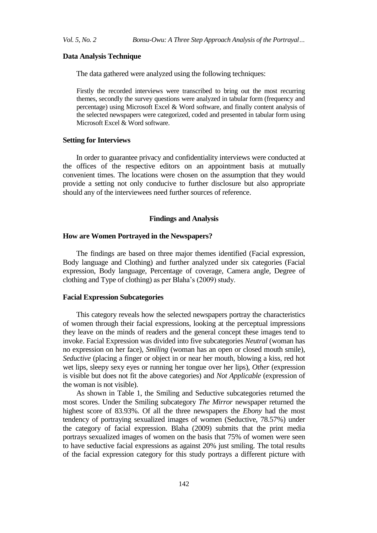## **Data Analysis Technique**

The data gathered were analyzed using the following techniques:

Firstly the recorded interviews were transcribed to bring out the most recurring themes, secondly the survey questions were analyzed in tabular form (frequency and percentage) using Microsoft Excel & Word software, and finally content analysis of the selected newspapers were categorized, coded and presented in tabular form using Microsoft Excel & Word software.

#### **Setting for Interviews**

In order to guarantee privacy and confidentiality interviews were conducted at the offices of the respective editors on an appointment basis at mutually convenient times. The locations were chosen on the assumption that they would provide a setting not only conducive to further disclosure but also appropriate should any of the interviewees need further sources of reference.

# **Findings and Analysis**

# **How are Women Portrayed in the Newspapers?**

The findings are based on three major themes identified (Facial expression, Body language and Clothing) and further analyzed under six categories (Facial expression, Body language, Percentage of coverage, Camera angle, Degree of clothing and Type of clothing) as per Blaha's (2009) study.

# **Facial Expression Subcategories**

This category reveals how the selected newspapers portray the characteristics of women through their facial expressions, looking at the perceptual impressions they leave on the minds of readers and the general concept these images tend to invoke. Facial Expression was divided into five subcategories *Neutral* (woman has no expression on her face), *Smiling* (woman has an open or closed mouth smile), *Seductive* (placing a finger or object in or near her mouth, blowing a kiss, red hot wet lips, sleepy sexy eyes or running her tongue over her lips), *Other* (expression is visible but does not fit the above categories) and *Not Applicable* (expression of the woman is not visible).

As shown in Table 1, the Smiling and Seductive subcategories returned the most scores. Under the Smiling subcategory *The Mirror* newspaper returned the highest score of 83.93%. Of all the three newspapers the *Ebony* had the most tendency of portraying sexualized images of women (Seductive, 78.57%) under the category of facial expression. Blaha (2009) submits that the print media portrays sexualized images of women on the basis that 75% of women were seen to have seductive facial expressions as against 20% just smiling. The total results of the facial expression category for this study portrays a different picture with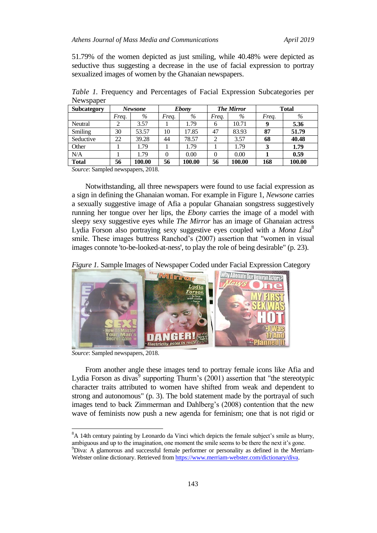51.79% of the women depicted as just smiling, while 40.48% were depicted as seductive thus suggesting a decrease in the use of facial expression to portray sexualized images of women by the Ghanaian newspapers.

| <b>Subcategory</b> |       | Newsone |          | <b>Ebony</b> |       | <b>The Mirror</b> |       | <b>Total</b> |
|--------------------|-------|---------|----------|--------------|-------|-------------------|-------|--------------|
|                    | Frea. | $\%$    | Freq.    | $\%$         | Freq. | $\%$              | Freq. | $\%$         |
| Neutral            | ∍     | 3.57    |          | 1.79         | 6     | 10.71             | 9     | 5.36         |
| Smiling            | 30    | 53.57   | 10       | 17.85        | 47    | 83.93             | 87    | 51.79        |
| Seductive          | 22    | 39.28   | 44       | 78.57        | 2     | 3.57              | 68    | 40.48        |
| Other              |       | 1.79    |          | 1.79         |       | 1.79              | 3     | 1.79         |
| N/A                |       | 1.79    | $\theta$ | 0.00         | 0     | 0.00              |       | 0.59         |
| <b>Total</b>       | 56    | 100.00  | 56       | 100.00       | 56    | 100.00            | 168   | 100.00       |

*Table 1.* Frequency and Percentages of Facial Expression Subcategories per **Newspaper** 

*Source*: Sampled newspapers, 2018.

Notwithstanding, all three newspapers were found to use facial expression as a sign in defining the Ghanaian woman. For example in Figure 1, *Newsone* carries a sexually suggestive image of Afia a popular Ghanaian songstress suggestively running her tongue over her lips, the *Ebony* carries the image of a model with sleepy sexy suggestive eyes while *The Mirror* has an image of Ghanaian actress Lydia Forson also portraying sexy suggestive eyes coupled with a *Mona Lisa* 8 smile. These images buttress Ranchod's (2007) assertion that "women in visual images connote 'to-be-looked-at-ness', to play the role of being desirable" (p. 23).

*Figure 1.* Sample Images of Newspaper Coded under Facial Expression Category



*Source*: Sampled newspapers, 2018.

 $\overline{a}$ 

From another angle these images tend to portray female icons like Afia and Lydia Forson as divas<sup>9</sup> supporting Thurm's  $(2001)$  assertion that "the stereotypic character traits attributed to women have shifted from weak and dependent to strong and autonomous" (p. 3). The bold statement made by the portrayal of such images tend to back Zimmerman and Dahlberg's (2008) contention that the new wave of feminists now push a new agenda for feminism; one that is not rigid or

<sup>&</sup>lt;sup>8</sup>A 14th century painting by Leonardo da Vinci which depicts the female subject's smile as blurry, ambiguous and up to the imagination, one moment the smile seems to be there the next it's gone. <sup>9</sup>Diva: A glamorous and successful female performer or personality as defined in the Merriam-Webster online dictionary. Retrieved fro[m https://www.merriam-webster.com/dictionary/diva.](https://www.merriam-webster.com/dictionary/diva)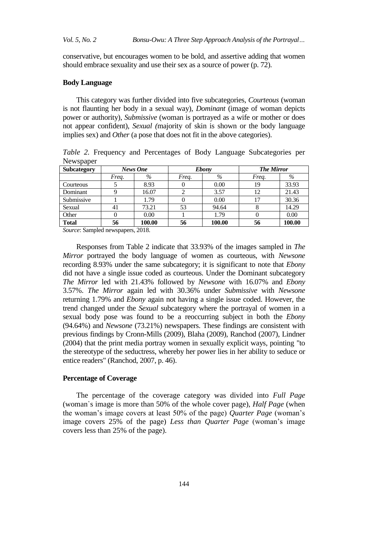conservative, but encourages women to be bold, and assertive adding that women should embrace sexuality and use their sex as a source of power (p. 72).

# **Body Language**

This category was further divided into five subcategories, *Courteous* (woman is not flaunting her body in a sexual way), *Dominant* (image of woman depicts power or authority), *Submissive* (woman is portrayed as a wife or mother or does not appear confident), *Sexual (*majority of skin is shown or the body language implies sex) and *Other* (a pose that does not fit in the above categories).

*Table 2.* Frequency and Percentages of Body Language Subcategories per Newspaper

| <b>Subcategory</b> | News One |        |       | <b>Ebony</b> | <b>The Mirror</b> |        |
|--------------------|----------|--------|-------|--------------|-------------------|--------|
|                    | Freq.    | $\%$   | Freq. | %            | Freq.             | %      |
| Courteous          |          | 8.93   |       | 0.00         | 19                | 33.93  |
| Dominant           |          | 16.07  |       | 3.57         | 12                | 21.43  |
| Submissive         |          | 1.79   |       | 0.00         | 17                | 30.36  |
| Sexual             | 41       | 73.21  | 53    | 94.64        |                   | 14.29  |
| Other              |          | 0.00   |       | 1.79         |                   | 0.00   |
| <b>Total</b>       | 56       | 100.00 | 56    | 100.00       | 56                | 100.00 |

*Source*: Sampled newspapers, 2018.

Responses from Table 2 indicate that 33.93% of the images sampled in *The Mirror* portrayed the body language of women as courteous, with *Newsone* recording 8.93% under the same subcategory; it is significant to note that *Ebony* did not have a single issue coded as courteous. Under the Dominant subcategory *The Mirror* led with 21.43% followed by *Newsone* with 16.07% and *Ebony* 3.57%. *The Mirror* again led with 30.36% under *Submissive* with *Newsone*  returning 1.79% and *Ebony* again not having a single issue coded. However, the trend changed under the *Sexual* subcategory where the portrayal of women in a sexual body pose was found to be a reoccurring subject in both the *Ebony* (94.64%) and *Newsone* (73.21%) newspapers. These findings are consistent with previous findings by Cronn-Mills (2009), Blaha (2009), Ranchod (2007), Lindner (2004) that the print media portray women in sexually explicit ways, pointing "to the stereotype of the seductress, whereby her power lies in her ability to seduce or entice readers" (Ranchod, 2007, p. 46).

# **Percentage of Coverage**

The percentage of the coverage category was divided into *Full Page* (woman᾽s image is more than 50% of the whole cover page), *Half Page* (when the woman's image covers at least 50% of the page) *Quarter Page* (woman's image covers 25% of the page) *Less than Quarter Page* (woman's image covers less than 25% of the page).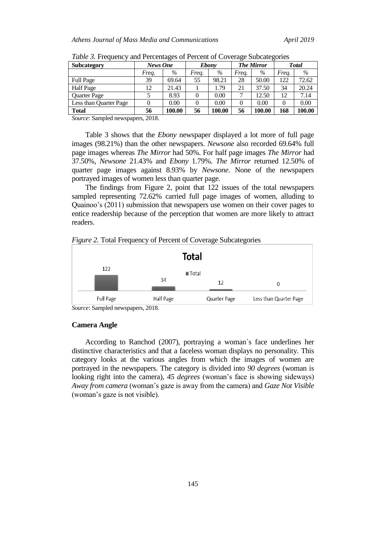| <b>Subcategory</b>     | News One |        |       | <b>Ebony</b> |          | <b>The Mirror</b> |       | <b>Total</b> |
|------------------------|----------|--------|-------|--------------|----------|-------------------|-------|--------------|
|                        | Freq.    | $\%$   | Frea. | $\%$         | Frea.    | %                 | Frea. | $\%$         |
| <b>Full Page</b>       | 39       | 69.64  | 55    | 98.21        | 28       | 50.00             | 122   | 72.62        |
| <b>Half</b> Page       | 12       | 21.43  |       | 1.79         | 21       | 37.50             | 34    | 20.24        |
| <b>Ouarter Page</b>    |          | 8.93   |       | 0.00         |          | 12.50             | 12    | 7.14         |
| Less than Quarter Page |          | 0.00   |       | 0.00         | $\Omega$ | 0.00              |       | 0.00         |
| <b>Total</b>           | 56       | 100.00 | 56    | 100.00       | 56       | 100.00            | 168   | 100.00       |

*Table 3.* Frequency and Percentages of Percent of Coverage Subcategories

*Source*: Sampled newspapers, 2018.

Table 3 shows that the *Ebony* newspaper displayed a lot more of full page images (98.21%) than the other newspapers. *Newsone* also recorded 69.64% full page images whereas *The Mirror* had 50%. For half page images *The Mirror* had 37.50%, *Newsone* 21.43% and *Ebony* 1.79%. *The Mirror* returned 12.50% of quarter page images against 8.93% by *Newsone*. None of the newspapers portrayed images of women less than quarter page.

The findings from Figure 2, point that 122 issues of the total newspapers sampled representing 72.62% carried full page images of women, alluding to Quainoo's (2011) submission that newspapers use women on their cover pages to entice readership because of the perception that women are more likely to attract readers.





*Source*: Sampled newspapers, 2018.

## **Camera Angle**

According to Ranchod (2007), portraying a woman᾽s face underlines her distinctive characteristics and that a faceless woman displays no personality. This category looks at the various angles from which the images of women are portrayed in the newspapers. The category is divided into *90 degrees* (woman is looking right into the camera), *45 degrees* (woman's face is showing sideways) *Away from camera* (woman's gaze is away from the camera) and *Gaze Not Visible* (woman's gaze is not visible).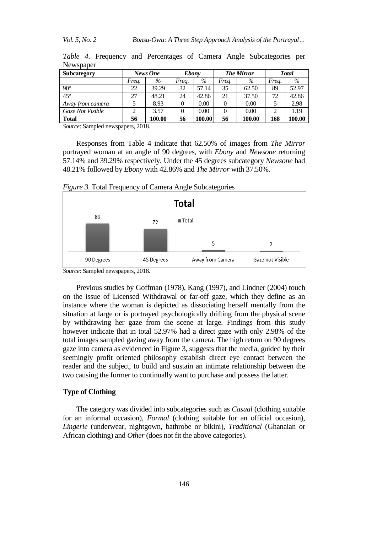| <b>Subcategory</b> |       | News One | <b>Ebony</b> |        |       | <b>The Mirror</b> |       | <b>Total</b> |
|--------------------|-------|----------|--------------|--------|-------|-------------------|-------|--------------|
|                    | Frea. | $\%$     | Frea.        | $\%$   | Frea. | $\%$              | Frea. | $\%$         |
| $90^\circ$         | 22    | 39.29    | 32           | 57.14  | 35    | 62.50             | 89    | 52.97        |
| $45^{\circ}$       | 27    | 48.21    | 24           | 42.86  | 21    | 37.50             | 72    | 42.86        |
| Away from camera   |       | 8.93     | 0            | 0.00   | 0     | 0.00              |       | 2.98         |
| Gaze Not Visible   |       | 3.57     |              | 0.00   | 0     | 0.00              |       | 1.19         |
| <b>Total</b>       | 56    | 100.00   | 56           | 100.00 | 56    | 100.00            | 168   | 100.00       |

*Table 4*. Frequency and Percentages of Camera Angle Subcategories per Newspaper

*Source*: Sampled newspapers, 2018.

Responses from Table 4 indicate that 62.50% of images from *The Mirror* portrayed woman at an angle of 90 degrees, with *Ebony* and *Newsone* returning 57.14% and 39.29% respectively. Under the 45 degrees subcategory *Newsone* had 48.21% followed by *Ebony* with 42.86% and *The Mirror* with 37.50%.

*Figure 3.* Total Frequency of Camera Angle Subcategories



*Source*: Sampled newspapers, 2018.

Previous studies by Goffman (1978), Kang (1997), and Lindner (2004) touch on the issue of Licensed Withdrawal or far-off gaze, which they define as an instance where the woman is depicted as dissociating herself mentally from the situation at large or is portrayed psychologically drifting from the physical scene by withdrawing her gaze from the scene at large. Findings from this study however indicate that in total 52.97% had a direct gaze with only 2.98% of the total images sampled gazing away from the camera. The high return on 90 degrees gaze into camera as evidenced in Figure 3, suggests that the media, guided by their seemingly profit oriented philosophy establish direct eye contact between the reader and the subject, to build and sustain an intimate relationship between the two causing the former to continually want to purchase and possess the latter.

# **Type of Clothing**

The category was divided into subcategories such as *Casual* (clothing suitable for an informal occasion), *Formal* (clothing suitable for an official occasion), *Lingerie* (underwear, nightgown, bathrobe or bikini), *Traditional* (Ghanaian or African clothing) and *Other* (does not fit the above categories).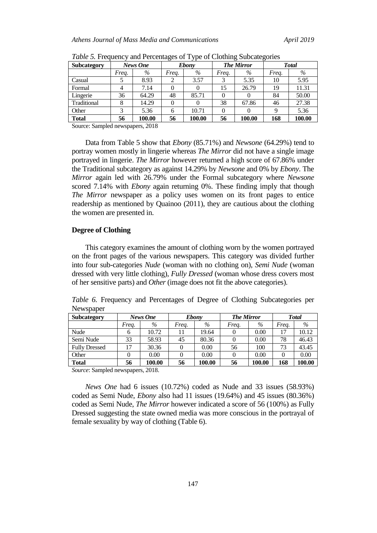| <b>Subcategory</b>         |       | News One             | <b>Ebony</b> |        | <b>The Mirror</b> |        | <b>Total</b> |        |
|----------------------------|-------|----------------------|--------------|--------|-------------------|--------|--------------|--------|
|                            | Frea. | $\%$                 | Freq.        | $\%$   | Freq.             | %      | Freq.        | %      |
| Casual                     |       | 8.93                 |              | 3.57   | 3                 | 5.35   | 10           | 5.95   |
| Formal                     |       | 7.14                 |              |        | 15                | 26.79  | 19           | 11.31  |
| Lingerie                   | 36    | 64.29                | 48           | 85.71  | 0                 |        | 84           | 50.00  |
| Traditional                | 8     | 14.29                |              |        | 38                | 67.86  | 46           | 27.38  |
| Other                      | 3     | 5.36                 | 6            | 10.71  | $\theta$          |        | q            | 5.36   |
| <b>Total</b>               | 56    | 100.00               | 56           | 100.00 | 56                | 100.00 | 168          | 100.00 |
| $\sim$<br>$\sim$<br>$\sim$ |       | $\sim$ $\sim$ $\sim$ |              |        |                   |        |              |        |

*Table 5.* Frequency and Percentages of Type of Clothing Subcategories

Source: Sampled newspapers, 2018

Data from Table 5 show that *Ebony* (85.71%) and *Newsone* (64.29%) tend to portray women mostly in lingerie whereas *The Mirror* did not have a single image portrayed in lingerie. *The Mirror* however returned a high score of 67.86% under the Traditional subcategory as against 14.29% by *Newsone* and 0% by *Ebony*. The *Mirror* again led with 26.79% under the Formal subcategory where *Newsone* scored 7.14% with *Ebony* again returning 0%. These finding imply that though *The Mirror* newspaper as a policy uses women on its front pages to entice readership as mentioned by Quainoo (2011), they are cautious about the clothing the women are presented in.

#### **Degree of Clothing**

This category examines the amount of clothing worn by the women portrayed on the front pages of the various newspapers. This category was divided further into four sub-categories *Nude* (woman with no clothing on), *Semi Nude* (woman dressed with very little clothing), *Fully Dressed* (woman whose dress covers most of her sensitive parts) and *Other* (image does not fit the above categories).

| Newspaper            |       |          |       |          |                   |          |       |              |
|----------------------|-------|----------|-------|----------|-------------------|----------|-------|--------------|
| <b>Subcategory</b>   |       | News One |       | Ebonv    | <b>The Mirror</b> |          |       | <b>Total</b> |
|                      | Frea. | $\%$     | Frea. | $\%$     | Freq.             | $\%$     | Frea. | $\%$         |
| Nude                 |       | 10.72    |       | 19.64    |                   | $0.00\,$ |       | 10.12        |
| Semi Nude            | 33    | 58.93    | 45    | 80.36    |                   | $0.00\,$ | 78    | 46.43        |
| <b>Fully Dressed</b> | 17    | 30.36    |       | $0.00\,$ | 56                | 100      | 73    | 43.45        |

Other 0 0.00 0 0.00 0 0.00 0 0.00 **Total 56 100.00 56 100.00 56 100.00 168 100.00**

*Table 6.* Frequency and Percentages of Degree of Clothing Subcategories per Newspaper

*Source*: Sampled newspapers, 2018.

*News One* had 6 issues (10.72%) coded as Nude and 33 issues (58.93%) coded as Semi Nude, *Ebony* also had 11 issues (19.64%) and 45 issues (80.36%) coded as Semi Nude, *The Mirror* however indicated a score of 56 (100%) as Fully Dressed suggesting the state owned media was more conscious in the portrayal of female sexuality by way of clothing (Table 6).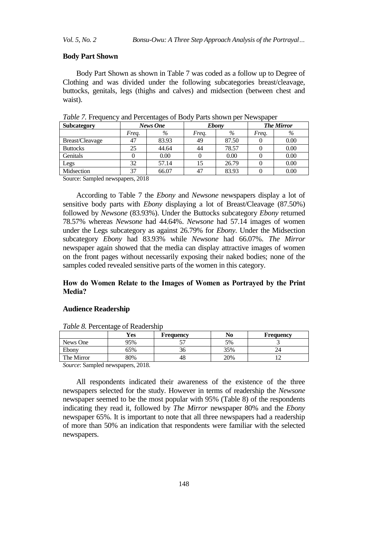## **Body Part Shown**

Body Part Shown as shown in Table 7 was coded as a follow up to Degree of Clothing and was divided under the following subcategories breast/cleavage, buttocks, genitals, legs (thighs and calves) and midsection (between chest and waist).

| Subcategory             |                      | News One |       | <b>Ebony</b> |       | <b>The Mirror</b> |  |
|-------------------------|----------------------|----------|-------|--------------|-------|-------------------|--|
|                         | Frea.                | $\%$     | Freq. | $\%$         | Freg. | $\%$              |  |
| Breast/Cleavage         | 47                   | 83.93    | 49    | 87.50        |       | 0.00              |  |
| <b>Buttocks</b>         | 25                   | 44.64    | 44    | 78.57        |       | 0.00              |  |
| Genitals                |                      | 0.00     |       | 0.00         |       | 0.00              |  |
| Legs                    | 32                   | 57.14    | 15    | 26.79        |       | 0.00              |  |
| Midsection              | 37                   | 66.07    | 47    | 83.93        |       | 0.00              |  |
| . .<br>$\sim$<br>$\sim$ | $\sim$ $\sim$ $\sim$ |          |       |              |       |                   |  |

*Table 7.* Frequency and Percentages of Body Parts shown per Newspaper

Source: Sampled newspapers, 2018

According to Table 7 the *Ebony* and *Newsone* newspapers display a lot of sensitive body parts with *Ebony* displaying a lot of Breast/Cleavage (87.50%) followed by *Newsone* (83.93%). Under the Buttocks subcategory *Ebony* returned 78.57% whereas *Newsone* had 44.64%. *Newsone* had 57.14 images of women under the Legs subcategory as against 26.79% for *Ebony*. Under the Midsection subcategory *Ebony* had 83.93% while *Newsone* had 66.07%. *The Mirror* newspaper again showed that the media can display attractive images of women on the front pages without necessarily exposing their naked bodies; none of the samples coded revealed sensitive parts of the women in this category.

# **How do Women Relate to the Images of Women as Portrayed by the Print Media?**

## **Audience Readership**

|                                     | Yes                  | <b>Frequency</b> | No  | <b>Frequency</b> |
|-------------------------------------|----------------------|------------------|-----|------------------|
| News One                            | 95%                  |                  | 5%  |                  |
| Ebony                               | 65%                  | ახ               | 35% |                  |
| The Mirror                          | 80%                  | 48               | 20% |                  |
| $\sim$<br>$\sim$<br>$\cdot$ $\cdot$ | $\sim$ $\sim$ $\sim$ |                  |     |                  |

*Table 8.* Percentage of Readership

*Source*: Sampled newspapers, 2018.

All respondents indicated their awareness of the existence of the three newspapers selected for the study. However in terms of readership the *Newsone* newspaper seemed to be the most popular with 95% (Table 8) of the respondents indicating they read it, followed by *The Mirror* newspaper 80% and the *Ebony* newspaper 65%. It is important to note that all three newspapers had a readership of more than 50% an indication that respondents were familiar with the selected newspapers.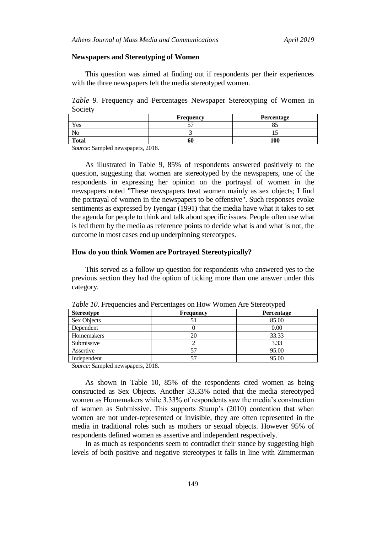#### **Newspapers and Stereotyping of Women**

This question was aimed at finding out if respondents per their experiences with the three newspapers felt the media stereotyped women.

*Table 9.* Frequency and Percentages Newspaper Stereotyping of Women in Society

|              | Frequency | Percentage          |
|--------------|-----------|---------------------|
| Yes          |           | $\sim$ $\sim$<br>0. |
| w            |           |                     |
| <b>Total</b> | 60        | 100                 |

*Source*: Sampled newspapers, 2018.

As illustrated in Table 9, 85% of respondents answered positively to the question, suggesting that women are stereotyped by the newspapers, one of the respondents in expressing her opinion on the portrayal of women in the newspapers noted "These newspapers treat women mainly as sex objects; I find the portrayal of women in the newspapers to be offensive". Such responses evoke sentiments as expressed by Iyengar (1991) that the media have what it takes to set the agenda for people to think and talk about specific issues. People often use what is fed them by the media as reference points to decide what is and what is not, the outcome in most cases end up underpinning stereotypes.

## **How do you think Women are Portrayed Stereotypically?**

This served as a follow up question for respondents who answered yes to the previous section they had the option of ticking more than one answer under this category.

| Stereotype  | <b>Frequency</b> | . .<br><b>Percentage</b> |
|-------------|------------------|--------------------------|
| Sex Objects |                  | 85.00                    |
| Dependent   |                  | 0.00                     |
| Homemakers  | 20               | 33.33                    |
| Submissive  |                  | 3.33                     |
| Assertive   |                  | 95.00                    |
| Independent |                  | 95.00                    |

*Table 10.* Frequencies and Percentages on How Women Are Stereotyped

*Source*: Sampled newspapers, 2018.

As shown in Table 10, 85% of the respondents cited women as being constructed as Sex Objects. Another 33.33% noted that the media stereotyped women as Homemakers while 3.33% of respondents saw the media's construction of women as Submissive. This supports Stump's (2010) contention that when women are not under-represented or invisible, they are often represented in the media in traditional roles such as mothers or sexual objects. However 95% of respondents defined women as assertive and independent respectively.

In as much as respondents seem to contradict their stance by suggesting high levels of both positive and negative stereotypes it falls in line with Zimmerman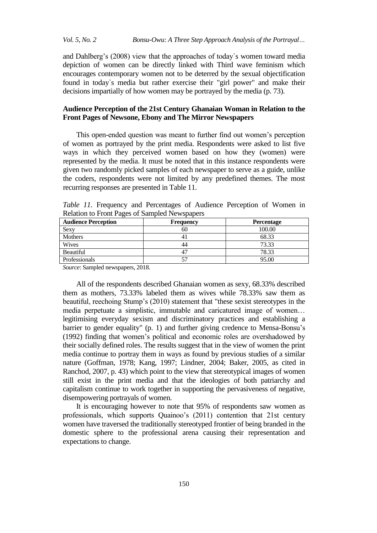and Dahlberg's (2008) view that the approaches of today᾽s women toward media depiction of women can be directly linked with Third wave feminism which encourages contemporary women not to be deterred by the sexual objectification found in today᾽s media but rather exercise their "girl power" and make their decisions impartially of how women may be portrayed by the media (p. 73).

# **Audience Perception of the 21st Century Ghanaian Woman in Relation to the Front Pages of Newsone, Ebony and The Mirror Newspapers**

This open-ended question was meant to further find out women's perception of women as portrayed by the print media. Respondents were asked to list five ways in which they perceived women based on how they (women) were represented by the media. It must be noted that in this instance respondents were given two randomly picked samples of each newspaper to serve as a guide, unlike the coders, respondents were not limited by any predefined themes. The most recurring responses are presented in Table 11.

| <b>Relation</b> to 110m 1 ages of bumpled Fremspapers |                  |                   |  |  |  |  |
|-------------------------------------------------------|------------------|-------------------|--|--|--|--|
| <b>Audience Perception</b>                            | <b>Frequency</b> | <b>Percentage</b> |  |  |  |  |
| Sexy                                                  | 60               | 100.00            |  |  |  |  |
| <b>Mothers</b>                                        |                  | 68.33             |  |  |  |  |
| Wives                                                 | 44               | 73.33             |  |  |  |  |
| Beautiful                                             |                  | 78.33             |  |  |  |  |
| Professionals                                         |                  | 95.00             |  |  |  |  |
|                                                       |                  |                   |  |  |  |  |

*Table 11.* Frequency and Percentages of Audience Perception of Women in Relation to Front Pages of Sampled Newspapers

*Source*: Sampled newspapers, 2018.

All of the respondents described Ghanaian women as sexy, 68.33% described them as mothers, 73.33% labeled them as wives while 78.33% saw them as beautiful, reechoing Stump's (2010) statement that "these sexist stereotypes in the media perpetuate a simplistic, immutable and caricatured image of women… legitimising everyday sexism and discriminatory practices and establishing a barrier to gender equality" (p. 1) and further giving credence to Mensa-Bonsu's (1992) finding that women's political and economic roles are overshadowed by their socially defined roles. The results suggest that in the view of women the print media continue to portray them in ways as found by previous studies of a similar nature (Goffman, 1978; Kang, 1997; Lindner, 2004; Baker, 2005, as cited in Ranchod, 2007, p. 43) which point to the view that stereotypical images of women still exist in the print media and that the ideologies of both patriarchy and capitalism continue to work together in supporting the pervasiveness of negative, disempowering portrayals of women.

It is encouraging however to note that 95% of respondents saw women as professionals, which supports Quainoo's (2011) contention that 21st century women have traversed the traditionally stereotyped frontier of being branded in the domestic sphere to the professional arena causing their representation and expectations to change.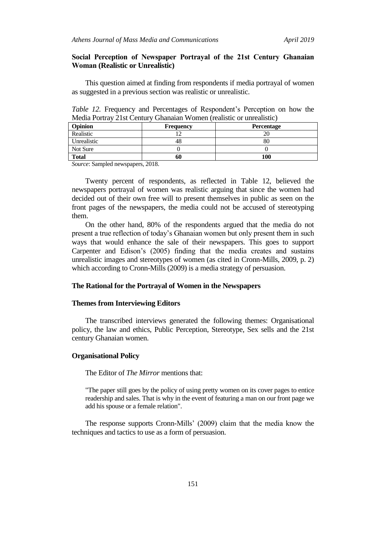# **Social Perception of Newspaper Portrayal of the 21st Century Ghanaian Woman (Realistic or Unrealistic)**

This question aimed at finding from respondents if media portrayal of women as suggested in a previous section was realistic or unrealistic.

*Table 12.* Frequency and Percentages of Respondent's Perception on how the Media Portray 21st Century Ghanaian Women (realistic or unrealistic)

| <b>Opinion</b> | <b>Frequency</b> | <b>Percentage</b> |
|----------------|------------------|-------------------|
| Realistic      |                  |                   |
| Unrealistic    | 48               | ðι                |
| Not Sure       |                  |                   |
| <b>Total</b>   | 60               | 100               |

*Source*: Sampled newspapers, 2018.

Twenty percent of respondents, as reflected in Table 12, believed the newspapers portrayal of women was realistic arguing that since the women had decided out of their own free will to present themselves in public as seen on the front pages of the newspapers, the media could not be accused of stereotyping them.

On the other hand, 80% of the respondents argued that the media do not present a true reflection of today's Ghanaian women but only present them in such ways that would enhance the sale of their newspapers. This goes to support Carpenter and Edison's (2005) finding that the media creates and sustains unrealistic images and stereotypes of women (as cited in Cronn-Mills, 2009, p. 2) which according to Cronn-Mills (2009) is a media strategy of persuasion.

## **The Rational for the Portrayal of Women in the Newspapers**

# **Themes from Interviewing Editors**

The transcribed interviews generated the following themes: Organisational policy, the law and ethics, Public Perception, Stereotype, Sex sells and the 21st century Ghanaian women.

## **Organisational Policy**

The Editor of *The Mirror* mentions that:

"The paper still goes by the policy of using pretty women on its cover pages to entice readership and sales. That is why in the event of featuring a man on our front page we add his spouse or a female relation".

The response supports Cronn-Mills' (2009) claim that the media know the techniques and tactics to use as a form of persuasion.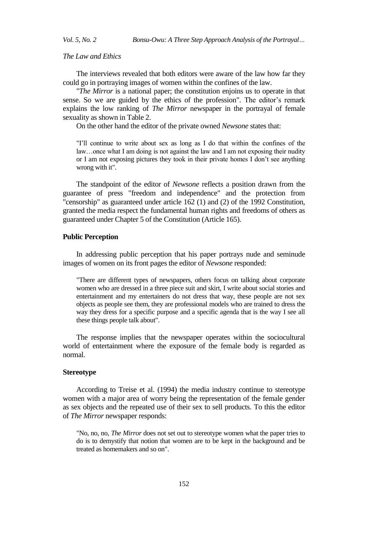*The Law and Ethics*

The interviews revealed that both editors were aware of the law how far they could go in portraying images of women within the confines of the law.

"*The Mirror* is a national paper; the constitution enjoins us to operate in that sense. So we are guided by the ethics of the profession". The editor's remark explains the low ranking of *The Mirror* newspaper in the portrayal of female sexuality as shown in Table 2.

On the other hand the editor of the private owned *Newsone* states that:

"I'll continue to write about sex as long as I do that within the confines of the law…once what I am doing is not against the law and I am not exposing their nudity or I am not exposing pictures they took in their private homes I don't see anything wrong with it".

The standpoint of the editor of *Newsone* reflects a position drawn from the guarantee of press "freedom and independence" and the protection from "censorship" as guaranteed under article 162 (1) and (2) of the 1992 Constitution, granted the media respect the fundamental human rights and freedoms of others as guaranteed under Chapter 5 of the Constitution (Article 165).

# **Public Perception**

In addressing public perception that his paper portrays nude and seminude images of women on its front pages the editor of *Newsone* responded:

"There are different types of newspapers, others focus on talking about corporate women who are dressed in a three piece suit and skirt, I write about social stories and entertainment and my entertainers do not dress that way, these people are not sex objects as people see them, they are professional models who are trained to dress the way they dress for a specific purpose and a specific agenda that is the way I see all these things people talk about".

The response implies that the newspaper operates within the sociocultural world of entertainment where the exposure of the female body is regarded as normal.

#### **Stereotype**

According to Treise et al. (1994) the media industry continue to stereotype women with a major area of worry being the representation of the female gender as sex objects and the repeated use of their sex to sell products. To this the editor of *The Mirror* newspaper responds:

"No, no, no, *The Mirror* does not set out to stereotype women what the paper tries to do is to demystify that notion that women are to be kept in the background and be treated as homemakers and so on".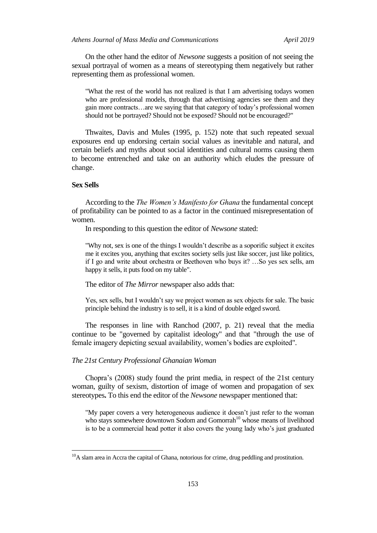On the other hand the editor of *Newsone* suggests a position of not seeing the sexual portrayal of women as a means of stereotyping them negatively but rather representing them as professional women.

"What the rest of the world has not realized is that I am advertising todays women who are professional models, through that advertising agencies see them and they gain more contracts…are we saying that that category of today's professional women should not be portrayed? Should not be exposed? Should not be encouraged?"

Thwaites, Davis and Mules (1995, p. 152) note that such repeated sexual exposures end up endorsing certain social values as inevitable and natural, and certain beliefs and myths about social identities and cultural norms causing them to become entrenched and take on an authority which eludes the pressure of change.

## **Sex Sells**

 $\overline{a}$ 

According to the *The Women's Manifesto for Ghana* the fundamental concept of profitability can be pointed to as a factor in the continued misrepresentation of women.

In responding to this question the editor of *Newsone* stated:

"Why not, sex is one of the things I wouldn't describe as a soporific subject it excites me it excites you, anything that excites society sells just like soccer, just like politics, if I go and write about orchestra or Beethoven who buys it? …So yes sex sells, am happy it sells, it puts food on my table".

The editor of *The Mirror* newspaper also adds that:

Yes, sex sells, but I wouldn't say we project women as sex objects for sale. The basic principle behind the industry is to sell, it is a kind of double edged sword.

The responses in line with Ranchod (2007, p. 21) reveal that the media continue to be "governed by capitalist ideology" and that "through the use of female imagery depicting sexual availability, women's bodies are exploited".

#### *The 21st Century Professional Ghanaian Woman*

Chopra's (2008) study found the print media, in respect of the 21st century woman, guilty of sexism, distortion of image of women and propagation of sex stereotypes**.** To this end the editor of the *Newsone* newspaper mentioned that:

"My paper covers a very heterogeneous audience it doesn't just refer to the woman who stays somewhere downtown Sodom and Gomorrah<sup>10</sup> whose means of livelihood is to be a commercial head potter it also covers the young lady who's just graduated

 $10<sup>10</sup>A$  slam area in Accra the capital of Ghana, notorious for crime, drug peddling and prostitution.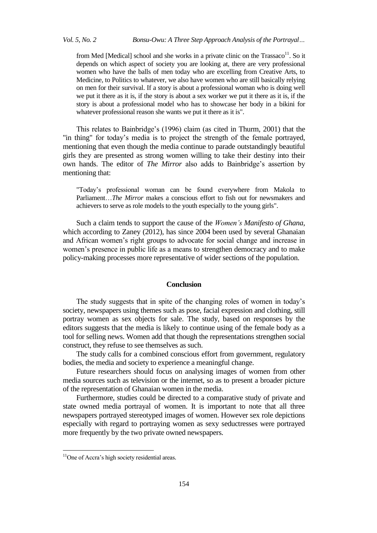from Med [Medical] school and she works in a private clinic on the  $Transa<sup>11</sup>$ . So it depends on which aspect of society you are looking at, there are very professional women who have the balls of men today who are excelling from Creative Arts, to Medicine, to Politics to whatever, we also have women who are still basically relying on men for their survival. If a story is about a professional woman who is doing well we put it there as it is, if the story is about a sex worker we put it there as it is, if the story is about a professional model who has to showcase her body in a bikini for whatever professional reason she wants we put it there as it is".

This relates to Bainbridge's (1996) claim (as cited in Thurm, 2001) that the "in thing" for today's media is to project the strength of the female portrayed, mentioning that even though the media continue to parade outstandingly beautiful girls they are presented as strong women willing to take their destiny into their own hands. The editor of *The Mirror* also adds to Bainbridge's assertion by mentioning that:

"Today's professional woman can be found everywhere from Makola to Parliament…*The Mirror* makes a conscious effort to fish out for newsmakers and achievers to serve as role models to the youth especially to the young girls".

Such a claim tends to support the cause of the *Women's Manifesto of Ghana*, which according to Zaney (2012), has since 2004 been used by several Ghanaian and African women's right groups to advocate for social change and increase in women's presence in public life as a means to strengthen democracy and to make policy-making processes more representative of wider sections of the population.

#### **Conclusion**

The study suggests that in spite of the changing roles of women in today's society, newspapers using themes such as pose, facial expression and clothing, still portray women as sex objects for sale. The study, based on responses by the editors suggests that the media is likely to continue using of the female body as a tool for selling news. Women add that though the representations strengthen social construct, they refuse to see themselves as such.

The study calls for a combined conscious effort from government, regulatory bodies, the media and society to experience a meaningful change.

Future researchers should focus on analysing images of women from other media sources such as television or the internet, so as to present a broader picture of the representation of Ghanaian women in the media.

Furthermore, studies could be directed to a comparative study of private and state owned media portrayal of women. It is important to note that all three newspapers portrayed stereotyped images of women. However sex role depictions especially with regard to portraying women as sexy seductresses were portrayed more frequently by the two private owned newspapers.

1

 $11$ One of Accra's high society residential areas.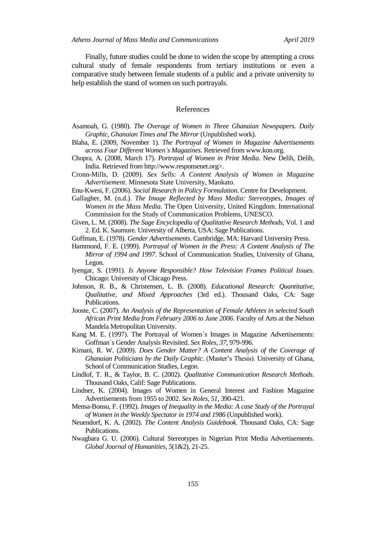Finally, future studies could be done to widen the scope by attempting a cross cultural study of female respondents from tertiary institutions or even a comparative study between female students of a public and a private university to help establish the stand of women on such portrayals.

# References

- Asamoah, G. (1980). *The Overage of Women in Three Ghanaian Newspapers. Daily Graphic, Ghanaian Times and The Mirror* (Unpublished work).
- Blaha, E. (2009, November 1). *The Portrayal of Women in Magazine Advertisements across Four Different Women᾽s Magazines*. Retrieved from www.kon.org.
- Chopra, A. (2008, March 17). *Portrayal of Women in Print Media*. New Delih, Delih, India. Retrieved from http://www.responsenet.org>.
- Cronn-Mills, D. (2009). *Sex Sells: A Content Analysis of Women in Magazine Advertisement*. Minnesota State University, Mankato.
- Enu-Kwesi, F. (2006). *Social Research in Policy Formulation*. Centre for Development.
- Gallagher, M. (n.d.). *The Image Reflected by Mass Media: Stereotypes, Images of Women in the Mass Media*. The Open University, United Kingdom. International Commission for the Study of Communication Problems, UNESCO.
- Given, L. M. (2008). *The Sage Encyclopedia of Qualitative Research Methods*, Vol. 1 and 2. Ed. K. Saumure. University of Alberta, USA: Sage Publications.
- Goffman, E. (1978). *Gender Advertisements*. Cambridge, MA: Harvard University Press.
- Hammond, F. E. (1999). *Portrayal of Women in the Press: A Content Analysis of The Mirror of 1994 and 1997*. School of Communication Studies, University of Ghana, Legon.
- Iyengar, S. (1991). *Is Anyone Responsible? How Television Frames Political Issues*. Chicago: University of Chicago Press.
- Johnson, R. B., & Christensen, L. B. (2008). *Educational Research: Quantitative, Qualitative, and Mixed Approaches* (3rd ed.). Thousand Oaks, CA: Sage Publications.
- Jooste, C. (2007). *An Analysis of the Representation of Female Athletes in selected South African Print Media from February 2006 to June 2006*. Faculty of Arts at the Nelson Mandela Metropolitan University.
- Kang M. E. (1997). The Portrayal of Women᾽s Images in Magazine Advertisements: Goffman᾽s Gender Analysis Revisited. *Sex Roles*, *37*, 979-996.
- Kimani, R. W. (2009). *Does Gender Matter? A Content Analysis of the Coverage of Ghanaian Politicians by the Daily Graphic*. (Master's Thesis). University of Ghana, School of Communication Studies, Legon.
- Lindlof, T. R., & Taylor, B. C. (2002). *Qualitative Communication Research Methods*. Thousand Oaks, Calif: Sage Publications.
- Lindner, K. (2004). Images of Women in General Interest and Fashion Magazine Advertisements from 1955 to 2002. *Sex Roles*, *51*, 390-421.
- Mensa-Bonsu, F. (1992). *Images of Inequality in the Media: A case Study of the Portrayal of Women in the Weekly Spectator in 1974 and 1986* (Unpublished work).
- Neuendorf, K. A. (2002). *The Content Analysis Guidebook.* Thousand Oaks, CA: Sage Publications.
- Nwagbara G. U. (2006). Cultural Stereotypes in Nigerian Print Media Advertisements. *Global Journal of Humanities*, *5*(1&2), 21-25.